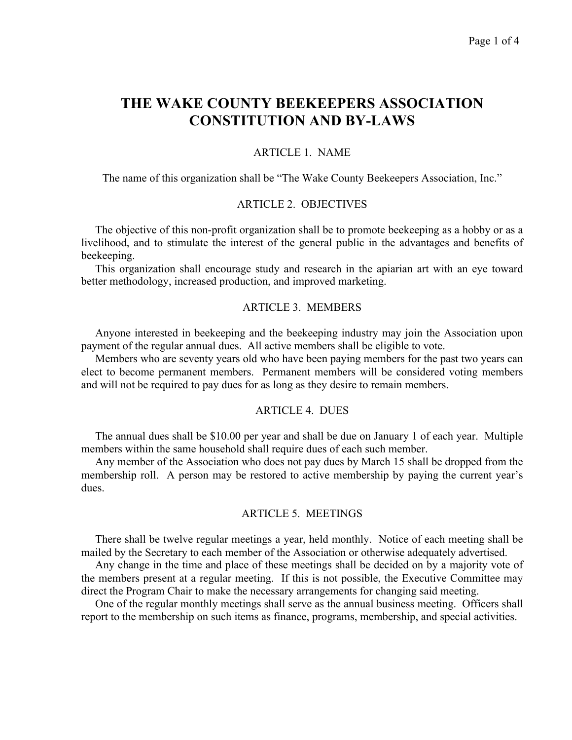# **THE WAKE COUNTY BEEKEEPERS ASSOCIATION CONSTITUTION AND BY-LAWS**

## ARTICLE 1. NAME

The name of this organization shall be "The Wake County Beekeepers Association, Inc."

## ARTICLE 2. OBJECTIVES

 The objective of this non-profit organization shall be to promote beekeeping as a hobby or as a livelihood, and to stimulate the interest of the general public in the advantages and benefits of beekeeping.

 This organization shall encourage study and research in the apiarian art with an eye toward better methodology, increased production, and improved marketing.

## ARTICLE 3. MEMBERS

 Anyone interested in beekeeping and the beekeeping industry may join the Association upon payment of the regular annual dues. All active members shall be eligible to vote.

 Members who are seventy years old who have been paying members for the past two years can elect to become permanent members. Permanent members will be considered voting members and will not be required to pay dues for as long as they desire to remain members.

## ARTICLE 4. DUES

 The annual dues shall be \$10.00 per year and shall be due on January 1 of each year. Multiple members within the same household shall require dues of each such member.

 Any member of the Association who does not pay dues by March 15 shall be dropped from the membership roll. A person may be restored to active membership by paying the current year's dues.

## ARTICLE 5. MEETINGS

 There shall be twelve regular meetings a year, held monthly. Notice of each meeting shall be mailed by the Secretary to each member of the Association or otherwise adequately advertised.

 Any change in the time and place of these meetings shall be decided on by a majority vote of the members present at a regular meeting. If this is not possible, the Executive Committee may direct the Program Chair to make the necessary arrangements for changing said meeting.

 One of the regular monthly meetings shall serve as the annual business meeting. Officers shall report to the membership on such items as finance, programs, membership, and special activities.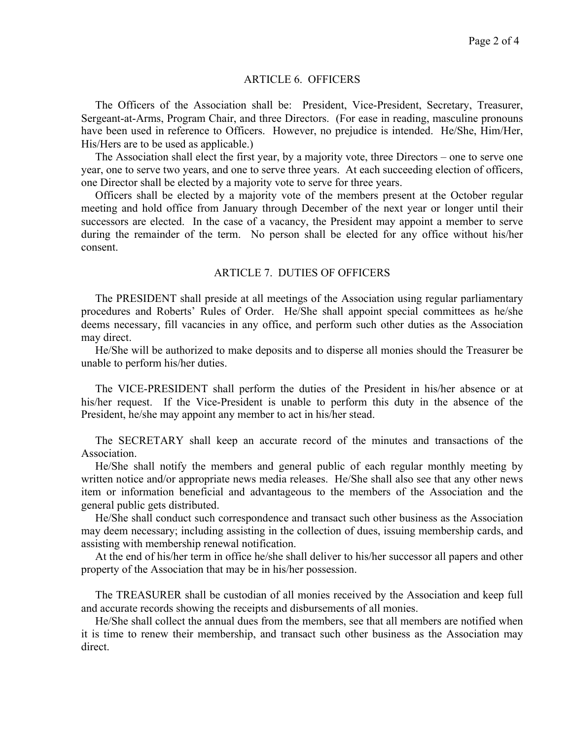## ARTICLE 6. OFFICERS

 The Officers of the Association shall be: President, Vice-President, Secretary, Treasurer, Sergeant-at-Arms, Program Chair, and three Directors. (For ease in reading, masculine pronouns have been used in reference to Officers. However, no prejudice is intended. He/She, Him/Her, His/Hers are to be used as applicable.)

 The Association shall elect the first year, by a majority vote, three Directors – one to serve one year, one to serve two years, and one to serve three years. At each succeeding election of officers, one Director shall be elected by a majority vote to serve for three years.

 Officers shall be elected by a majority vote of the members present at the October regular meeting and hold office from January through December of the next year or longer until their successors are elected. In the case of a vacancy, the President may appoint a member to serve during the remainder of the term. No person shall be elected for any office without his/her consent.

## ARTICLE 7. DUTIES OF OFFICERS

 The PRESIDENT shall preside at all meetings of the Association using regular parliamentary procedures and Roberts' Rules of Order. He/She shall appoint special committees as he/she deems necessary, fill vacancies in any office, and perform such other duties as the Association may direct.

 He/She will be authorized to make deposits and to disperse all monies should the Treasurer be unable to perform his/her duties.

 The VICE-PRESIDENT shall perform the duties of the President in his/her absence or at his/her request. If the Vice-President is unable to perform this duty in the absence of the President, he/she may appoint any member to act in his/her stead.

 The SECRETARY shall keep an accurate record of the minutes and transactions of the Association.

 He/She shall notify the members and general public of each regular monthly meeting by written notice and/or appropriate news media releases. He/She shall also see that any other news item or information beneficial and advantageous to the members of the Association and the general public gets distributed.

 He/She shall conduct such correspondence and transact such other business as the Association may deem necessary; including assisting in the collection of dues, issuing membership cards, and assisting with membership renewal notification.

 At the end of his/her term in office he/she shall deliver to his/her successor all papers and other property of the Association that may be in his/her possession.

 The TREASURER shall be custodian of all monies received by the Association and keep full and accurate records showing the receipts and disbursements of all monies.

 He/She shall collect the annual dues from the members, see that all members are notified when it is time to renew their membership, and transact such other business as the Association may direct.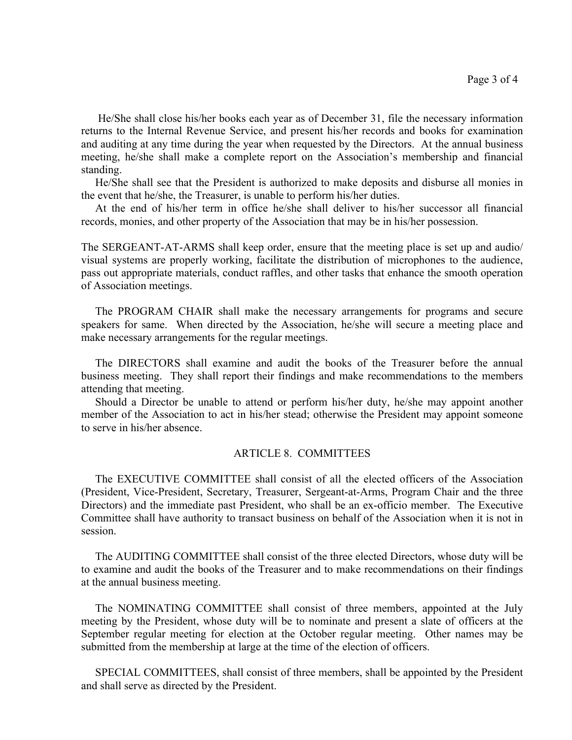He/She shall close his/her books each year as of December 31, file the necessary information returns to the Internal Revenue Service, and present his/her records and books for examination and auditing at any time during the year when requested by the Directors. At the annual business meeting, he/she shall make a complete report on the Association's membership and financial standing.

 He/She shall see that the President is authorized to make deposits and disburse all monies in the event that he/she, the Treasurer, is unable to perform his/her duties.

 At the end of his/her term in office he/she shall deliver to his/her successor all financial records, monies, and other property of the Association that may be in his/her possession.

The SERGEANT-AT-ARMS shall keep order, ensure that the meeting place is set up and audio/ visual systems are properly working, facilitate the distribution of microphones to the audience, pass out appropriate materials, conduct raffles, and other tasks that enhance the smooth operation of Association meetings.

 The PROGRAM CHAIR shall make the necessary arrangements for programs and secure speakers for same. When directed by the Association, he/she will secure a meeting place and make necessary arrangements for the regular meetings.

 The DIRECTORS shall examine and audit the books of the Treasurer before the annual business meeting. They shall report their findings and make recommendations to the members attending that meeting.

 Should a Director be unable to attend or perform his/her duty, he/she may appoint another member of the Association to act in his/her stead; otherwise the President may appoint someone to serve in his/her absence.

## ARTICLE 8. COMMITTEES

 The EXECUTIVE COMMITTEE shall consist of all the elected officers of the Association (President, Vice-President, Secretary, Treasurer, Sergeant-at-Arms, Program Chair and the three Directors) and the immediate past President, who shall be an ex-officio member. The Executive Committee shall have authority to transact business on behalf of the Association when it is not in session.

 The AUDITING COMMITTEE shall consist of the three elected Directors, whose duty will be to examine and audit the books of the Treasurer and to make recommendations on their findings at the annual business meeting.

 The NOMINATING COMMITTEE shall consist of three members, appointed at the July meeting by the President, whose duty will be to nominate and present a slate of officers at the September regular meeting for election at the October regular meeting. Other names may be submitted from the membership at large at the time of the election of officers.

 SPECIAL COMMITTEES, shall consist of three members, shall be appointed by the President and shall serve as directed by the President.